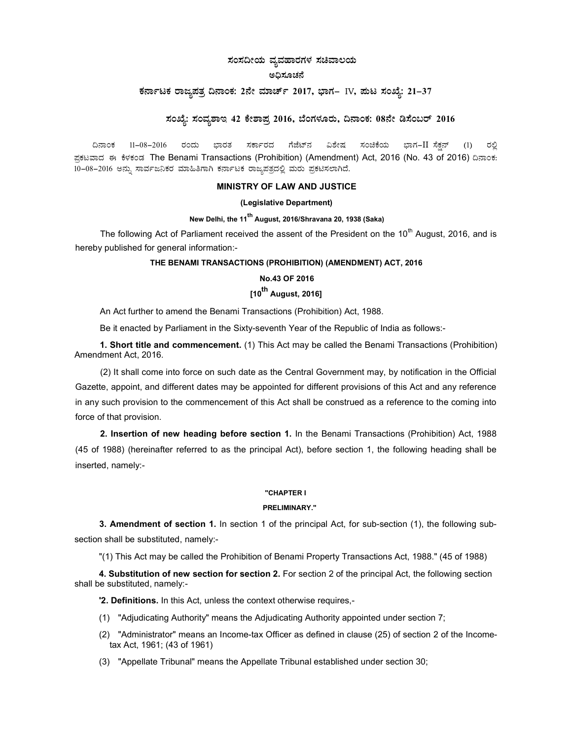# ಸಂಸದೀಯ ವ್ಯವಹಾರಗಳ ಸಚಿವಾಲಯ

## ಅಧಿಸೂಚನೆ

## ಕರ್ನಾಟಕ ರಾಜ್ಯಪತ್ರ ದಿನಾಂಕ: 2ನೇ ಮಾರ್ಚ್ 2017, ಭಾಗ– IV, ಪುಟ ಸಂಖ್ಯೆ: 21–37

## ಸಂಖ್ಯೆ: ಸಂವ್ನಶಾಇ 42 ಕೇಶಾಪ್ರ 2016, ಬೆಂಗಳೂರು, ದಿನಾಂಕ: 08ನೇ ಡಿಸೆಂಬರ್ 2016

ದಿನಾಂಕ 11–08–2016 ರಂದು ಭಾರತ ಸರ್ಕಾರದ ಗೆಜೆಟ್ನ್ ವಿಶೇಷ ಸಂಚಿಕೆಯ ಭಾಗ−IIರಸೆಕ್ಷನ್ (1) ರಲ್ಲಿ ಪಕಟವಾದ ಈ ಕೆಳಕಂಡ The Benami Transactions (Prohibition) (Amendment) Act, 2016 (No. 43 of 2016) ದಿನಾಂಕ: 10-08-2016 ಅನ್ನು ಸಾರ್ವಜನಿಕರ ಮಾಹಿತಿಗಾಗಿ ಕರ್ನಾಟಕ ರಾಜ್ಯಪತ್ರದಲ್ಲಿ ಮರು ಪ್ರಕಟಿಸಲಾಗಿದೆ.

## MINISTRY OF LAW AND JUSTICE

### (Legislative Department)

## New Delhi, the 11<sup>th</sup> August, 2016/Shravana 20, 1938 (Saka)

The following Act of Parliament received the assent of the President on the  $10<sup>th</sup>$  August, 2016, and is hereby published for general information:-

## THE BENAMI TRANSACTIONS (PROHIBITION) (AMENDMENT) ACT, 2016

## No.43 OF 2016

## [10<sup>th</sup> August, 2016]

An Act further to amend the Benami Transactions (Prohibition) Act, 1988.

Be it enacted by Parliament in the Sixty-seventh Year of the Republic of India as follows:-

1. Short title and commencement. (1) This Act may be called the Benami Transactions (Prohibition) Amendment Act, 2016.

(2) It shall come into force on such date as the Central Government may, by notification in the Official Gazette, appoint, and different dates may be appointed for different provisions of this Act and any reference in any such provision to the commencement of this Act shall be construed as a reference to the coming into force of that provision.

2. Insertion of new heading before section 1. In the Benami Transactions (Prohibition) Act, 1988 (45 of 1988) (hereinafter referred to as the principal Act), before section 1, the following heading shall be inserted, namely:-

### "CHAPTER I

## PRELIMINARY."

3. Amendment of section 1. In section 1 of the principal Act, for sub-section (1), the following subsection shall be substituted, namely:-

"(1) This Act may be called the Prohibition of Benami Property Transactions Act, 1988." (45 of 1988)

4. Substitution of new section for section 2. For section 2 of the principal Act, the following section shall be substituted, namely:-

'2. Definitions. In this Act, unless the context otherwise requires,-

- (1) "Adjudicating Authority" means the Adjudicating Authority appointed under section 7;
- (2) "Administrator" means an Income-tax Officer as defined in clause (25) of section 2 of the Incometax Act, 1961; (43 of 1961)
- (3) "Appellate Tribunal" means the Appellate Tribunal established under section 30;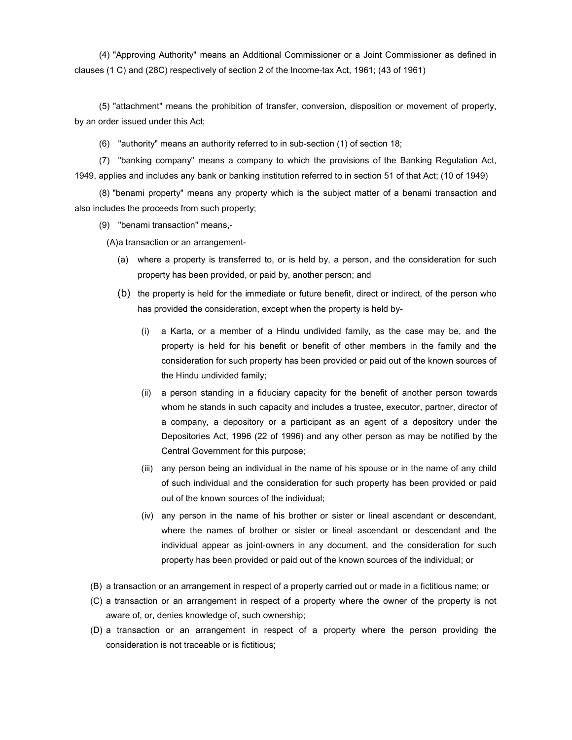(4) "Approving Authority" means an Additional Commissioner or a Joint Commissioner as defined in clauses (1 C) and (28C) respectively of section 2 of the Income-tax Act, 1961; (43 of 1961)

(5) "attachment" means the prohibition of transfer, conversion, disposition or movement of property, by an order issued under this Act;

(6) "authority" means an authority referred to in sub-section (1) of section 18;

(7) "banking company" means a company to which the provisions of the Banking Regulation Act, 1949, applies and includes any bank or banking institution referred to in section 51 of that Act; (10 of 1949)

(8) "benami property" means any property which is the subject matter of a benami transaction and also includes the proceeds from such property;

(9) "benami transaction" means,-

(A) a transaction or an arrangement-

- (a) where a property is transferred to, or is held by, a person, and the consideration for such property has been provided, or paid by, another person; and
- (b) the property is held for the immediate or future benefit, direct or indirect, of the person who has provided the consideration, except when the property is held by-
	- (i) a Karta, or a member of a Hindu undivided family, as the case may be, and the property is held for his benefit or benefit of other members in the family and the consideration for such property has been provided or paid out of the known sources of the Hindu undivided family;
	- (ii) a person standing in a fiduciary capacity for the benefit of another person towards whom he stands in such capacity and includes a trustee, executor, partner, director of a company, a depository or a participant as an agent of a depository under the Depositories Act, 1996 (22 of 1996) and any other person as may be notified by the Central Government for this purpose;
	- (iii) any person being an individual in the name of his spouse or in the name of any child of such individual and the consideration for such property has been provided or paid out of the known sources of the individual;
	- (iv) any person in the name of his brother or sister or lineal ascendant or descendant, where the names of brother or sister or lineal ascendant or descendant and the individual appear as joint-owners in any document, and the consideration for such property has been provided or paid out of the known sources of the individual; or
- (B) a transaction or an arrangement in respect of a property carried out or made in a fictitious name; or
- (C) a transaction or an arrangement in respect of a property where the owner of the property is not aware of, or, denies knowledge of, such ownership;
- (D) a transaction or an arrangement in respect of a property where the person providing the consideration is not traceable or is fictitious;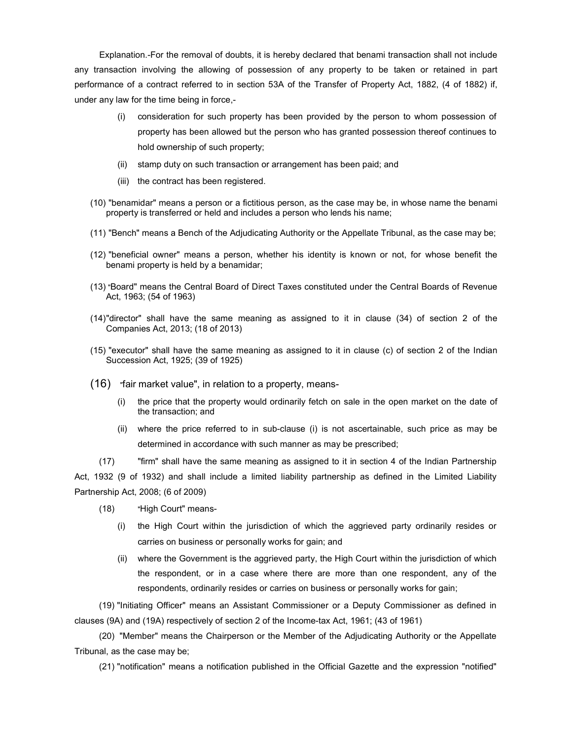Explanation.-For the removal of doubts, it is hereby declared that benami transaction shall not include any transaction involving the allowing of possession of any property to be taken or retained in part performance of a contract referred to in section 53A of the Transfer of Property Act, 1882, (4 of 1882) if, under any law for the time being in force,-

- (i) consideration for such property has been provided by the person to whom possession of property has been allowed but the person who has granted possession thereof continues to hold ownership of such property;
- (ii) stamp duty on such transaction or arrangement has been paid; and
- (iii) the contract has been registered.
- (10) "benamidar" means a person or a fictitious person, as the case may be, in whose name the benami property is transferred or held and includes a person who lends his name;
- (11) "Bench" means a Bench of the Adjudicating Authority or the Appellate Tribunal, as the case may be;
- (12) "beneficial owner" means a person, whether his identity is known or not, for whose benefit the benami property is held by a benamidar;
- (13)"Board" means the Central Board of Direct Taxes constituted under the Central Boards of Revenue Act, 1963; (54 of 1963)
- (14) "director" shall have the same meaning as assigned to it in clause (34) of section 2 of the Companies Act, 2013; (18 of 2013)
- (15) "executor" shall have the same meaning as assigned to it in clause (c) of section 2 of the Indian Succession Act, 1925; (39 of 1925)
- (16) "fair market value", in relation to a property, means-
	- (i) the price that the property would ordinarily fetch on sale in the open market on the date of the transaction; and
	- (ii) where the price referred to in sub-clause (i) is not ascertainable, such price as may be determined in accordance with such manner as may be prescribed;

(17) "firm" shall have the same meaning as assigned to it in section 4 of the Indian Partnership Act, 1932 (9 of 1932) and shall include a limited liability partnership as defined in the Limited Liability Partnership Act, 2008; (6 of 2009)

- (18) "High Court" means-
	- (i) the High Court within the jurisdiction of which the aggrieved party ordinarily resides or carries on business or personally works for gain; and
	- (ii) where the Government is the aggrieved party, the High Court within the jurisdiction of which the respondent, or in a case where there are more than one respondent, any of the respondents, ordinarily resides or carries on business or personally works for gain;

(19) "Initiating Officer" means an Assistant Commissioner or a Deputy Commissioner as defined in clauses (9A) and (19A) respectively of section 2 of the Income-tax Act, 1961; (43 of 1961)

(20) "Member" means the Chairperson or the Member of the Adjudicating Authority or the Appellate Tribunal, as the case may be;

(21) "notification" means a notification published in the Official Gazette and the expression "notified"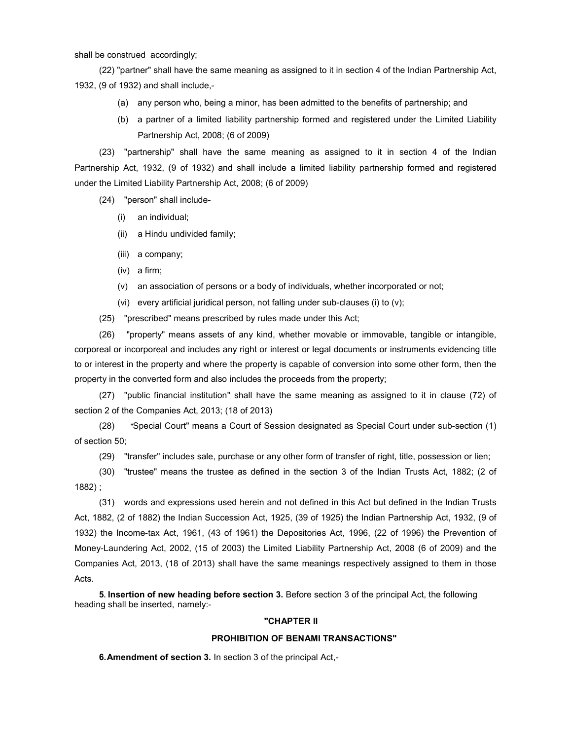shall be construed accordingly;

(22) "partner" shall have the same meaning as assigned to it in section 4 of the Indian Partnership Act, 1932, (9 of 1932) and shall include,-

- (a) any person who, being a minor, has been admitted to the benefits of partnership; and
- (b) a partner of a limited liability partnership formed and registered under the Limited Liability Partnership Act, 2008; (6 of 2009)

(23) "partnership" shall have the same meaning as assigned to it in section 4 of the Indian Partnership Act, 1932, (9 of 1932) and shall include a limited liability partnership formed and registered under the Limited Liability Partnership Act, 2008; (6 of 2009)

(24) "person" shall include-

- (i) an individual;
- (ii) a Hindu undivided family;
- (iii) a company;
- (iv) a firm;
- (v) an association of persons or a body of individuals, whether incorporated or not;
- (vi) every artificial juridical person, not falling under sub-clauses (i) to (v);

(25) "prescribed" means prescribed by rules made under this Act;

(26) "property" means assets of any kind, whether movable or immovable, tangible or intangible, corporeal or incorporeal and includes any right or interest or legal documents or instruments evidencing title to or interest in the property and where the property is capable of conversion into some other form, then the property in the converted form and also includes the proceeds from the property;

(27) "public financial institution" shall have the same meaning as assigned to it in clause (72) of section 2 of the Companies Act, 2013; (18 of 2013)

(28) "Special Court" means a Court of Session designated as Special Court under sub-section (1) of section 50;

(29) "transfer" includes sale, purchase or any other form of transfer of right, title, possession or lien;

(30) "trustee" means the trustee as defined in the section 3 of the Indian Trusts Act, 1882; (2 of 1882) ;

(31) words and expressions used herein and not defined in this Act but defined in the Indian Trusts Act, 1882, (2 of 1882) the Indian Succession Act, 1925, (39 of 1925) the Indian Partnership Act, 1932, (9 of 1932) the Income-tax Act, 1961, (43 of 1961) the Depositories Act, 1996, (22 of 1996) the Prevention of Money-Laundering Act, 2002, (15 of 2003) the Limited Liability Partnership Act, 2008 (6 of 2009) and the Companies Act, 2013, (18 of 2013) shall have the same meanings respectively assigned to them in those Acts.

5. Insertion of new heading before section 3. Before section 3 of the principal Act, the following heading shall be inserted, namely:-

## "CHAPTER II

#### PROHIBITION OF BENAMI TRANSACTIONS"

6. Amendment of section 3. In section 3 of the principal Act,-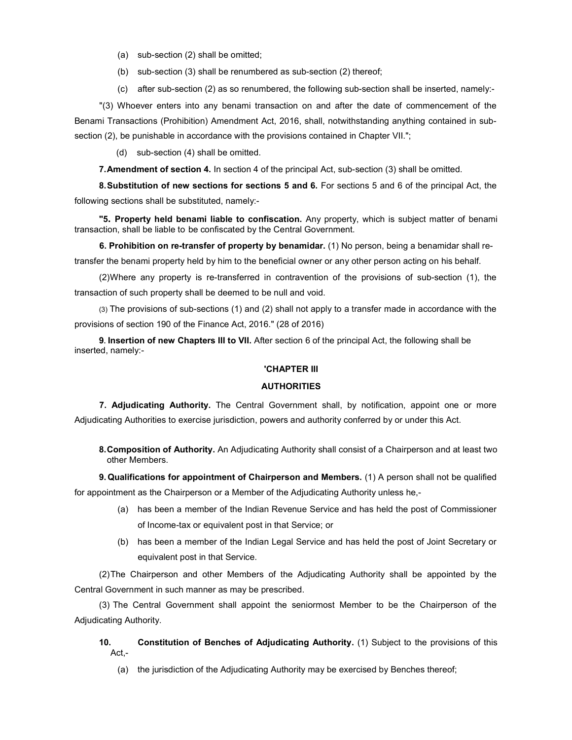- (a) sub-section (2) shall be omitted;
- (b) sub-section (3) shall be renumbered as sub-section (2) thereof;
- (c) after sub-section (2) as so renumbered, the following sub-section shall be inserted, namely:-

"(3) Whoever enters into any benami transaction on and after the date of commencement of the Benami Transactions (Prohibition) Amendment Act, 2016, shall, notwithstanding anything contained in subsection (2), be punishable in accordance with the provisions contained in Chapter VII.";

(d) sub-section (4) shall be omitted.

7. Amendment of section 4. In section 4 of the principal Act, sub-section (3) shall be omitted.

8. Substitution of new sections for sections 5 and 6. For sections 5 and 6 of the principal Act, the following sections shall be substituted, namely:-

"5. Property held benami liable to confiscation. Any property, which is subject matter of benami transaction, shall be liable to be confiscated by the Central Government.

6. Prohibition on re-transfer of property by benamidar. (1) No person, being a benamidar shall retransfer the benami property held by him to the beneficial owner or any other person acting on his behalf.

(2) Where any property is re-transferred in contravention of the provisions of sub-section (1), the transaction of such property shall be deemed to be null and void.

(3) The provisions of sub-sections (1) and (2) shall not apply to a transfer made in accordance with the provisions of section 190 of the Finance Act, 2016." (28 of 2016)

9. Insertion of new Chapters III to VII. After section 6 of the principal Act, the following shall be inserted, namely:-

## 'CHAPTER III

### **AUTHORITIES**

7. Adjudicating Authority. The Central Government shall, by notification, appoint one or more Adjudicating Authorities to exercise jurisdiction, powers and authority conferred by or under this Act.

8. Composition of Authority. An Adjudicating Authority shall consist of a Chairperson and at least two other Members.

9. Qualifications for appointment of Chairperson and Members. (1) A person shall not be qualified for appointment as the Chairperson or a Member of the Adjudicating Authority unless he,-

- (a) has been a member of the Indian Revenue Service and has held the post of Commissioner of Income-tax or equivalent post in that Service; or
- (b) has been a member of the Indian Legal Service and has held the post of Joint Secretary or equivalent post in that Service.

(2) The Chairperson and other Members of the Adjudicating Authority shall be appointed by the Central Government in such manner as may be prescribed.

(3) The Central Government shall appoint the seniormost Member to be the Chairperson of the Adjudicating Authority.

10. Constitution of Benches of Adjudicating Authority. (1) Subject to the provisions of this Act,-

(a) the jurisdiction of the Adjudicating Authority may be exercised by Benches thereof;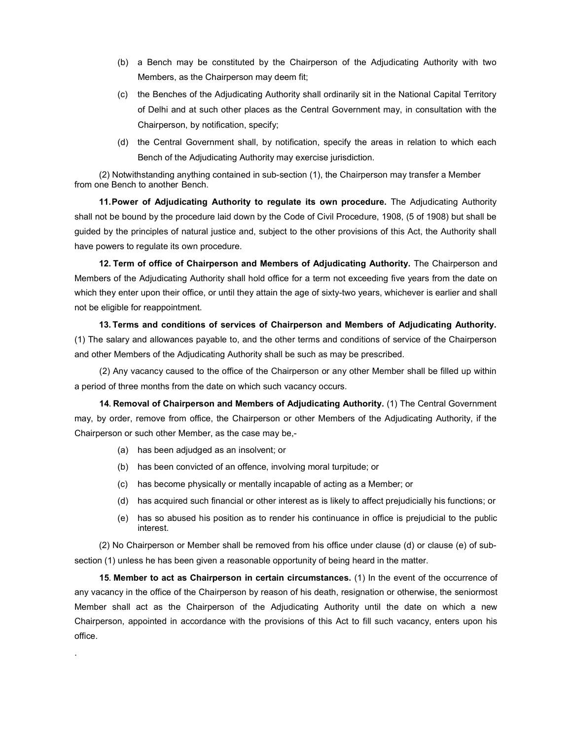- (b) a Bench may be constituted by the Chairperson of the Adjudicating Authority with two Members, as the Chairperson may deem fit;
- (c) the Benches of the Adjudicating Authority shall ordinarily sit in the National Capital Territory of Delhi and at such other places as the Central Government may, in consultation with the Chairperson, by notification, specify;
- (d) the Central Government shall, by notification, specify the areas in relation to which each Bench of the Adjudicating Authority may exercise jurisdiction.

(2) Notwithstanding anything contained in sub-section (1), the Chairperson may transfer a Member from one Bench to another Bench.

11. Power of Adjudicating Authority to regulate its own procedure. The Adjudicating Authority shall not be bound by the procedure laid down by the Code of Civil Procedure, 1908, (5 of 1908) but shall be guided by the principles of natural justice and, subject to the other provisions of this Act, the Authority shall have powers to regulate its own procedure.

12. Term of office of Chairperson and Members of Adjudicating Authority. The Chairperson and Members of the Adjudicating Authority shall hold office for a term not exceeding five years from the date on which they enter upon their office, or until they attain the age of sixty-two years, whichever is earlier and shall not be eligible for reappointment.

13. Terms and conditions of services of Chairperson and Members of Adjudicating Authority. (1) The salary and allowances payable to, and the other terms and conditions of service of the Chairperson and other Members of the Adjudicating Authority shall be such as may be prescribed.

(2) Any vacancy caused to the office of the Chairperson or any other Member shall be filled up within a period of three months from the date on which such vacancy occurs.

14. Removal of Chairperson and Members of Adjudicating Authority. (1) The Central Government may, by order, remove from office, the Chairperson or other Members of the Adjudicating Authority, if the Chairperson or such other Member, as the case may be,-

(a) has been adjudged as an insolvent; or

.

- (b) has been convicted of an offence, involving moral turpitude; or
- (c) has become physically or mentally incapable of acting as a Member; or
- (d) has acquired such financial or other interest as is likely to affect prejudicially his functions; or
- (e) has so abused his position as to render his continuance in office is prejudicial to the public interest.

(2) No Chairperson or Member shall be removed from his office under clause (d) or clause (e) of subsection (1) unless he has been given a reasonable opportunity of being heard in the matter.

15. Member to act as Chairperson in certain circumstances. (1) In the event of the occurrence of any vacancy in the office of the Chairperson by reason of his death, resignation or otherwise, the seniormost Member shall act as the Chairperson of the Adjudicating Authority until the date on which a new Chairperson, appointed in accordance with the provisions of this Act to fill such vacancy, enters upon his office.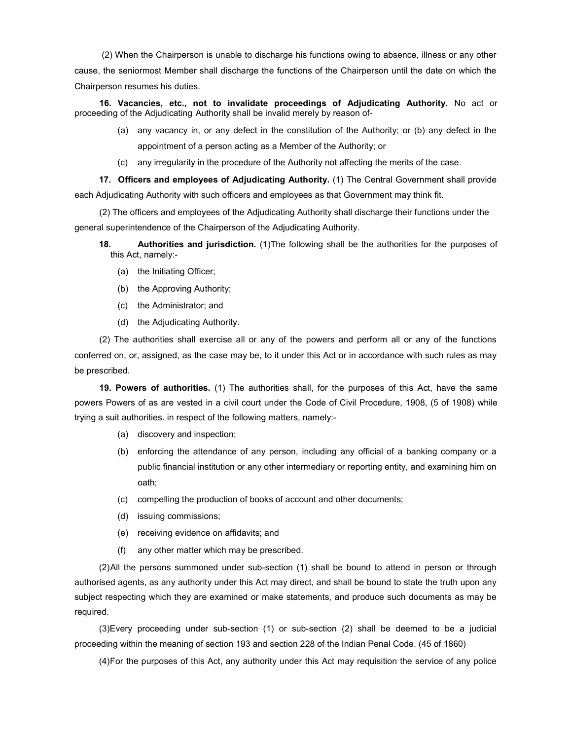(2) When the Chairperson is unable to discharge his functions owing to absence, illness or any other cause, the seniormost Member shall discharge the functions of the Chairperson until the date on which the Chairperson resumes his duties.

16. Vacancies, etc., not to invalidate proceedings of Adjudicating Authority. No act or proceeding of the Adjudicating Authority shall be invalid merely by reason of-

- (a) any vacancy in, or any defect in the constitution of the Authority; or (b) any defect in the appointment of a person acting as a Member of the Authority; or
- (c) any irregularity in the procedure of the Authority not affecting the merits of the case.

17. Officers and employees of Adjudicating Authority. (1) The Central Government shall provide each Adjudicating Authority with such officers and employees as that Government may think fit.

(2) The officers and employees of the Adjudicating Authority shall discharge their functions under the general superintendence of the Chairperson of the Adjudicating Authority.

- 18. Authorities and jurisdiction. (1) The following shall be the authorities for the purposes of this Act, namely:-
	- (a) the Initiating Officer;
	- (b) the Approving Authority;
	- (c) the Administrator; and
	- (d) the Adjudicating Authority.

(2) The authorities shall exercise all or any of the powers and perform all or any of the functions conferred on, or, assigned, as the case may be, to it under this Act or in accordance with such rules as may be prescribed.

19. Powers of authorities. (1) The authorities shall, for the purposes of this Act, have the same powers Powers of as are vested in a civil court under the Code of Civil Procedure, 1908, (5 of 1908) while trying a suit authorities. in respect of the following matters, namely:-

- (a) discovery and inspection;
- (b) enforcing the attendance of any person, including any official of a banking company or a public financial institution or any other intermediary or reporting entity, and examining him on oath;
- (c) compelling the production of books of account and other documents;
- (d) issuing commissions;
- (e) receiving evidence on affidavits; and
- (f) any other matter which may be prescribed.

(2) All the persons summoned under sub-section (1) shall be bound to attend in person or through authorised agents, as any authority under this Act may direct, and shall be bound to state the truth upon any subject respecting which they are examined or make statements, and produce such documents as may be required.

(3) Every proceeding under sub-section (1) or sub-section (2) shall be deemed to be a judicial proceeding within the meaning of section 193 and section 228 of the Indian Penal Code. (45 of 1860)

(4) For the purposes of this Act, any authority under this Act may requisition the service of any police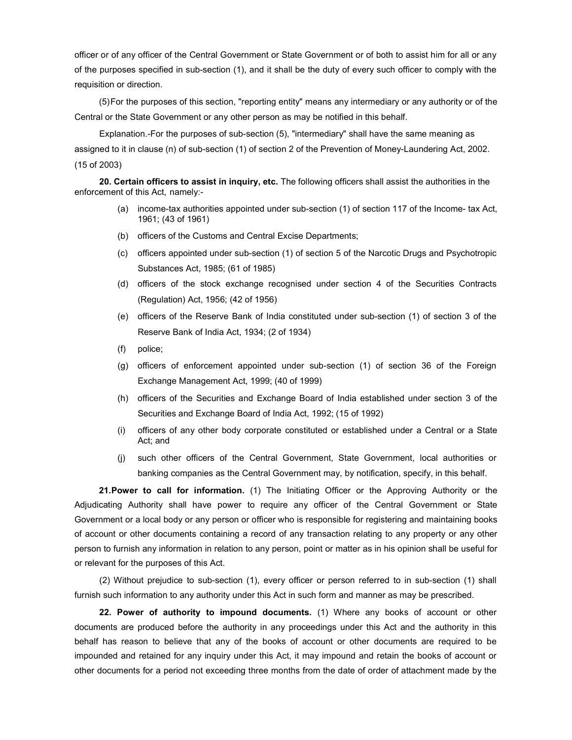officer or of any officer of the Central Government or State Government or of both to assist him for all or any of the purposes specified in sub-section (1), and it shall be the duty of every such officer to comply with the requisition or direction.

(5) For the purposes of this section, "reporting entity" means any intermediary or any authority or of the Central or the State Government or any other person as may be notified in this behalf.

Explanation.-For the purposes of sub-section (5), "intermediary" shall have the same meaning as assigned to it in clause (n) of sub-section (1) of section 2 of the Prevention of Money-Laundering Act, 2002. (15 of 2003)

20. Certain officers to assist in inquiry, etc. The following officers shall assist the authorities in the enforcement of this Act, namely:-

- (a) income-tax authorities appointed under sub-section (1) of section 117 of the Income- tax Act, 1961; (43 of 1961)
- (b) officers of the Customs and Central Excise Departments;
- (c) officers appointed under sub-section (1) of section 5 of the Narcotic Drugs and Psychotropic Substances Act, 1985; (61 of 1985)
- (d) officers of the stock exchange recognised under section 4 of the Securities Contracts (Regulation) Act, 1956; (42 of 1956)
- (e) officers of the Reserve Bank of India constituted under sub-section (1) of section 3 of the Reserve Bank of India Act, 1934; (2 of 1934)
- (f) police;
- (g) officers of enforcement appointed under sub-section (1) of section 36 of the Foreign Exchange Management Act, 1999; (40 of 1999)
- (h) officers of the Securities and Exchange Board of India established under section 3 of the Securities and Exchange Board of India Act, 1992; (15 of 1992)
- (i) officers of any other body corporate constituted or established under a Central or a State Act; and
- (j) such other officers of the Central Government, State Government, local authorities or banking companies as the Central Government may, by notification, specify, in this behalf.

**21. Power to call for information.** (1) The Initiating Officer or the Approving Authority or the Adjudicating Authority shall have power to require any officer of the Central Government or State Government or a local body or any person or officer who is responsible for registering and maintaining books of account or other documents containing a record of any transaction relating to any property or any other person to furnish any information in relation to any person, point or matter as in his opinion shall be useful for or relevant for the purposes of this Act.

(2) Without prejudice to sub-section (1), every officer or person referred to in sub-section (1) shall furnish such information to any authority under this Act in such form and manner as may be prescribed.

22. Power of authority to impound documents. (1) Where any books of account or other documents are produced before the authority in any proceedings under this Act and the authority in this behalf has reason to believe that any of the books of account or other documents are required to be impounded and retained for any inquiry under this Act, it may impound and retain the books of account or other documents for a period not exceeding three months from the date of order of attachment made by the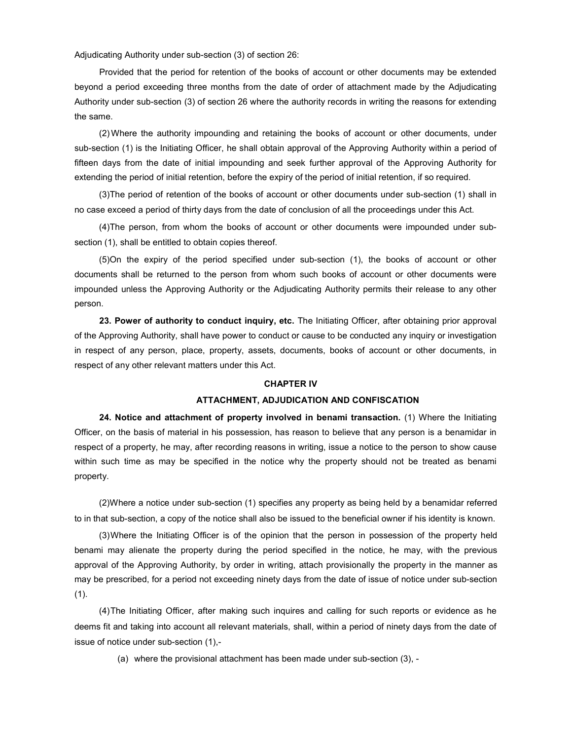Adjudicating Authority under sub-section (3) of section 26:

Provided that the period for retention of the books of account or other documents may be extended beyond a period exceeding three months from the date of order of attachment made by the Adjudicating Authority under sub-section (3) of section 26 where the authority records in writing the reasons for extending the same.

(2) Where the authority impounding and retaining the books of account or other documents, under sub-section (1) is the Initiating Officer, he shall obtain approval of the Approving Authority within a period of fifteen days from the date of initial impounding and seek further approval of the Approving Authority for extending the period of initial retention, before the expiry of the period of initial retention, if so required.

(3) The period of retention of the books of account or other documents under sub-section (1) shall in no case exceed a period of thirty days from the date of conclusion of all the proceedings under this Act.

(4) The person, from whom the books of account or other documents were impounded under subsection (1), shall be entitled to obtain copies thereof.

(5) On the expiry of the period specified under sub-section (1), the books of account or other documents shall be returned to the person from whom such books of account or other documents were impounded unless the Approving Authority or the Adjudicating Authority permits their release to any other person.

23. Power of authority to conduct inquiry, etc. The Initiating Officer, after obtaining prior approval of the Approving Authority, shall have power to conduct or cause to be conducted any inquiry or investigation in respect of any person, place, property, assets, documents, books of account or other documents, in respect of any other relevant matters under this Act.

#### CHAPTER IV

#### ATTACHMENT, ADJUDICATION AND CONFISCATION

24. Notice and attachment of property involved in benami transaction. (1) Where the Initiating Officer, on the basis of material in his possession, has reason to believe that any person is a benamidar in respect of a property, he may, after recording reasons in writing, issue a notice to the person to show cause within such time as may be specified in the notice why the property should not be treated as benami property.

(2) Where a notice under sub-section (1) specifies any property as being held by a benamidar referred to in that sub-section, a copy of the notice shall also be issued to the beneficial owner if his identity is known.

(3) Where the Initiating Officer is of the opinion that the person in possession of the property held benami may alienate the property during the period specified in the notice, he may, with the previous approval of the Approving Authority, by order in writing, attach provisionally the property in the manner as may be prescribed, for a period not exceeding ninety days from the date of issue of notice under sub-section  $(1).$ 

(4) The Initiating Officer, after making such inquires and calling for such reports or evidence as he deems fit and taking into account all relevant materials, shall, within a period of ninety days from the date of issue of notice under sub-section (1),-

(a) where the provisional attachment has been made under sub-section (3), -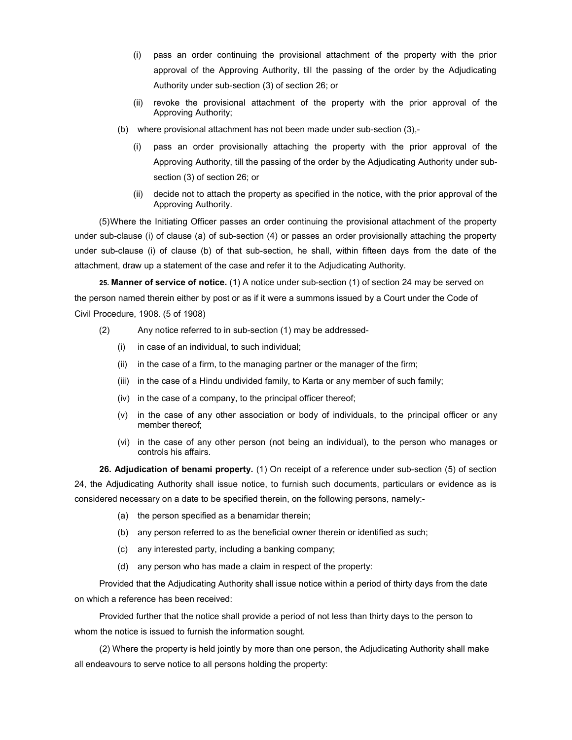- (i) pass an order continuing the provisional attachment of the property with the prior approval of the Approving Authority, till the passing of the order by the Adjudicating Authority under sub-section (3) of section 26; or
- (ii) revoke the provisional attachment of the property with the prior approval of the Approving Authority;
- (b) where provisional attachment has not been made under sub-section (3),-
	- (i) pass an order provisionally attaching the property with the prior approval of the Approving Authority, till the passing of the order by the Adjudicating Authority under subsection (3) of section 26; or
	- (ii) decide not to attach the property as specified in the notice, with the prior approval of the Approving Authority.

(5) Where the Initiating Officer passes an order continuing the provisional attachment of the property under sub-clause (i) of clause (a) of sub-section (4) or passes an order provisionally attaching the property under sub-clause (i) of clause (b) of that sub-section, he shall, within fifteen days from the date of the attachment, draw up a statement of the case and refer it to the Adjudicating Authority.

25. Manner of service of notice. (1) A notice under sub-section (1) of section 24 may be served on the person named therein either by post or as if it were a summons issued by a Court under the Code of Civil Procedure, 1908. (5 of 1908)

- (2) Any notice referred to in sub-section (1) may be addressed-
	- (i) in case of an individual, to such individual;
	- (ii) in the case of a firm, to the managing partner or the manager of the firm;
	- (iii) in the case of a Hindu undivided family, to Karta or any member of such family;
	- (iv) in the case of a company, to the principal officer thereof;
	- (v) in the case of any other association or body of individuals, to the principal officer or any member thereof;
	- (vi) in the case of any other person (not being an individual), to the person who manages or controls his affairs.

26. Adjudication of benami property. (1) On receipt of a reference under sub-section (5) of section 24, the Adjudicating Authority shall issue notice, to furnish such documents, particulars or evidence as is considered necessary on a date to be specified therein, on the following persons, namely:-

- (a) the person specified as a benamidar therein;
- (b) any person referred to as the beneficial owner therein or identified as such;
- (c) any interested party, including a banking company;
- (d) any person who has made a claim in respect of the property:

Provided that the Adjudicating Authority shall issue notice within a period of thirty days from the date on which a reference has been received:

Provided further that the notice shall provide a period of not less than thirty days to the person to whom the notice is issued to furnish the information sought.

(2) Where the property is held jointly by more than one person, the Adjudicating Authority shall make all endeavours to serve notice to all persons holding the property: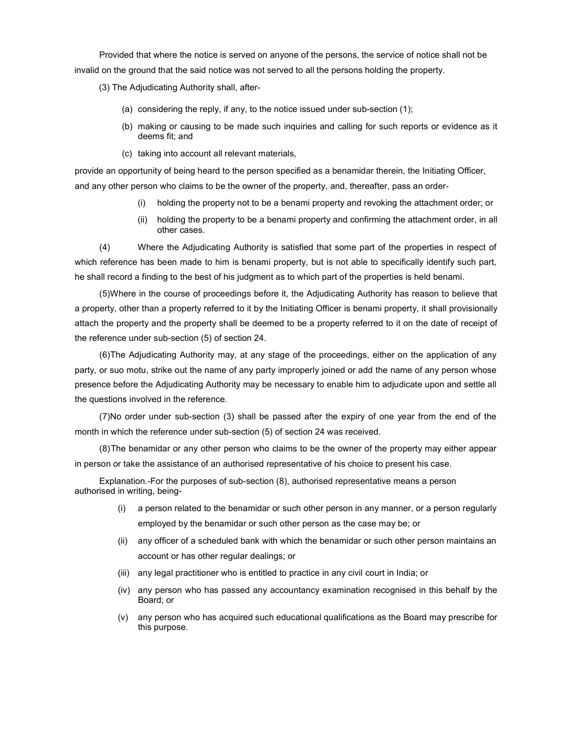Provided that where the notice is served on anyone of the persons, the service of notice shall not be invalid on the ground that the said notice was not served to all the persons holding the property.

(3) The Adjudicating Authority shall, after-

- (a) considering the reply, if any, to the notice issued under sub-section (1);
- (b) making or causing to be made such inquiries and calling for such reports or evidence as it deems fit; and
- (c) taking into account all relevant materials,

provide an opportunity of being heard to the person specified as a benamidar therein, the Initiating Officer, and any other person who claims to be the owner of the property, and, thereafter, pass an order-

- (i) holding the property not to be a benami property and revoking the attachment order; or
- (ii) holding the property to be a benami property and confirming the attachment order, in all other cases.

(4) Where the Adjudicating Authority is satisfied that some part of the properties in respect of which reference has been made to him is benami property, but is not able to specifically identify such part, he shall record a finding to the best of his judgment as to which part of the properties is held benami.

(5) Where in the course of proceedings before it, the Adjudicating Authority has reason to believe that a property, other than a property referred to it by the Initiating Officer is benami property, it shall provisionally attach the property and the property shall be deemed to be a property referred to it on the date of receipt of the reference under sub-section (5) of section 24.

(6) The Adjudicating Authority may, at any stage of the proceedings, either on the application of any party, or suo motu, strike out the name of any party improperly joined or add the name of any person whose presence before the Adjudicating Authority may be necessary to enable him to adjudicate upon and settle all the questions involved in the reference.

(7) No order under sub-section (3) shall be passed after the expiry of one year from the end of the month in which the reference under sub-section (5) of section 24 was received.

(8) The benamidar or any other person who claims to be the owner of the property may either appear in person or take the assistance of an authorised representative of his choice to present his case.

Explanation.-For the purposes of sub-section (8), authorised representative means a person authorised in writing, being-

- (i) a person related to the benamidar or such other person in any manner, or a person regularly employed by the benamidar or such other person as the case may be; or
- (ii) any officer of a scheduled bank with which the benamidar or such other person maintains an account or has other regular dealings; or
- (iii) any legal practitioner who is entitled to practice in any civil court in India; or
- (iv) any person who has passed any accountancy examination recognised in this behalf by the Board; or
- (v) any person who has acquired such educational qualifications as the Board may prescribe for this purpose.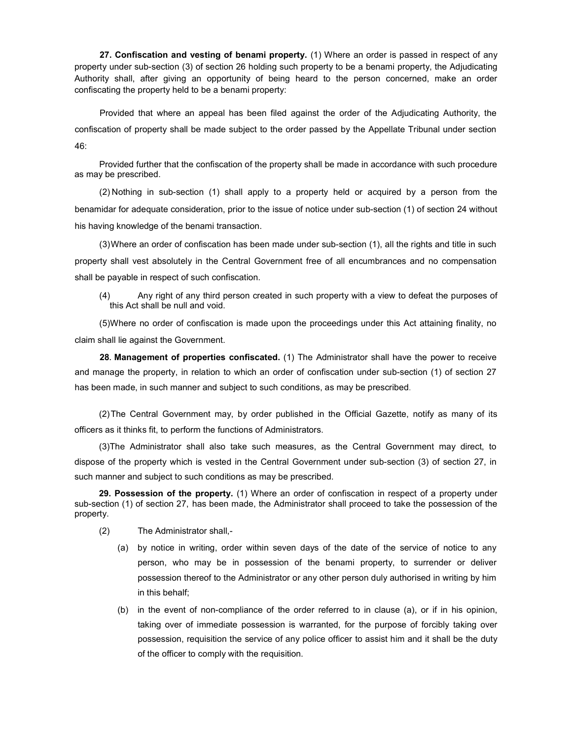27. Confiscation and vesting of benami property. (1) Where an order is passed in respect of any property under sub-section (3) of section 26 holding such property to be a benami property, the Adjudicating Authority shall, after giving an opportunity of being heard to the person concerned, make an order confiscating the property held to be a benami property:

Provided that where an appeal has been filed against the order of the Adjudicating Authority, the confiscation of property shall be made subject to the order passed by the Appellate Tribunal under section 46:

Provided further that the confiscation of the property shall be made in accordance with such procedure as may be prescribed.

(2) Nothing in sub-section (1) shall apply to a property held or acquired by a person from the benamidar for adequate consideration, prior to the issue of notice under sub-section (1) of section 24 without his having knowledge of the benami transaction.

(3) Where an order of confiscation has been made under sub-section (1), all the rights and title in such property shall vest absolutely in the Central Government free of all encumbrances and no compensation shall be payable in respect of such confiscation.

(4) Any right of any third person created in such property with a view to defeat the purposes of this Act shall be null and void.

(5) Where no order of confiscation is made upon the proceedings under this Act attaining finality, no claim shall lie against the Government.

28. Management of properties confiscated. (1) The Administrator shall have the power to receive and manage the property, in relation to which an order of confiscation under sub-section (1) of section 27 has been made, in such manner and subject to such conditions, as may be prescribed.

(2) The Central Government may, by order published in the Official Gazette, notify as many of its officers as it thinks fit, to perform the functions of Administrators.

(3) The Administrator shall also take such measures, as the Central Government may direct, to dispose of the property which is vested in the Central Government under sub-section (3) of section 27, in such manner and subject to such conditions as may be prescribed.

29. Possession of the property. (1) Where an order of confiscation in respect of a property under sub-section (1) of section 27, has been made, the Administrator shall proceed to take the possession of the property.

- (2) The Administrator shall,-
	- (a) by notice in writing, order within seven days of the date of the service of notice to any person, who may be in possession of the benami property, to surrender or deliver possession thereof to the Administrator or any other person duly authorised in writing by him in this behalf;
	- (b) in the event of non-compliance of the order referred to in clause (a), or if in his opinion, taking over of immediate possession is warranted, for the purpose of forcibly taking over possession, requisition the service of any police officer to assist him and it shall be the duty of the officer to comply with the requisition.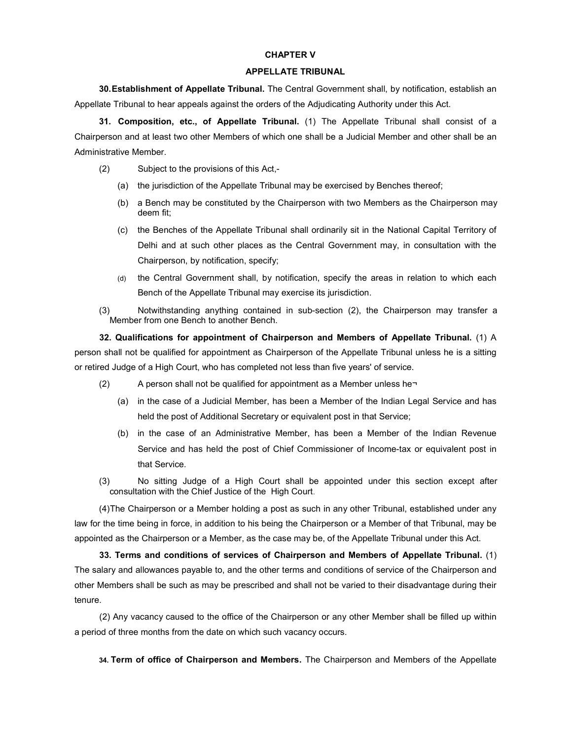## CHAPTER V

## APPELLATE TRIBUNAL

30. Establishment of Appellate Tribunal. The Central Government shall, by notification, establish an Appellate Tribunal to hear appeals against the orders of the Adjudicating Authority under this Act.

31. Composition, etc., of Appellate Tribunal. (1) The Appellate Tribunal shall consist of a Chairperson and at least two other Members of which one shall be a Judicial Member and other shall be an Administrative Member.

- (2) Subject to the provisions of this Act,-
	- (a) the jurisdiction of the Appellate Tribunal may be exercised by Benches thereof;
	- (b) a Bench may be constituted by the Chairperson with two Members as the Chairperson may deem fit;
	- (c) the Benches of the Appellate Tribunal shall ordinarily sit in the National Capital Territory of Delhi and at such other places as the Central Government may, in consultation with the Chairperson, by notification, specify;
	- (d) the Central Government shall, by notification, specify the areas in relation to which each Bench of the Appellate Tribunal may exercise its jurisdiction.
- (3) Notwithstanding anything contained in sub-section (2), the Chairperson may transfer a Member from one Bench to another Bench.

32. Qualifications for appointment of Chairperson and Members of Appellate Tribunal. (1) A person shall not be qualified for appointment as Chairperson of the Appellate Tribunal unless he is a sitting or retired Judge of a High Court, who has completed not less than five years' of service.

- (2) A person shall not be qualified for appointment as a Member unless he¬
	- (a) in the case of a Judicial Member, has been a Member of the Indian Legal Service and has held the post of Additional Secretary or equivalent post in that Service;
	- (b) in the case of an Administrative Member, has been a Member of the Indian Revenue Service and has held the post of Chief Commissioner of Income-tax or equivalent post in that Service.
- (3) No sitting Judge of a High Court shall be appointed under this section except after consultation with the Chief Justice of the High Court.

(4) The Chairperson or a Member holding a post as such in any other Tribunal, established under any law for the time being in force, in addition to his being the Chairperson or a Member of that Tribunal, may be appointed as the Chairperson or a Member, as the case may be, of the Appellate Tribunal under this Act.

33. Terms and conditions of services of Chairperson and Members of Appellate Tribunal. (1) The salary and allowances payable to, and the other terms and conditions of service of the Chairperson and other Members shall be such as may be prescribed and shall not be varied to their disadvantage during their tenure.

(2) Any vacancy caused to the office of the Chairperson or any other Member shall be filled up within a period of three months from the date on which such vacancy occurs.

34. Term of office of Chairperson and Members. The Chairperson and Members of the Appellate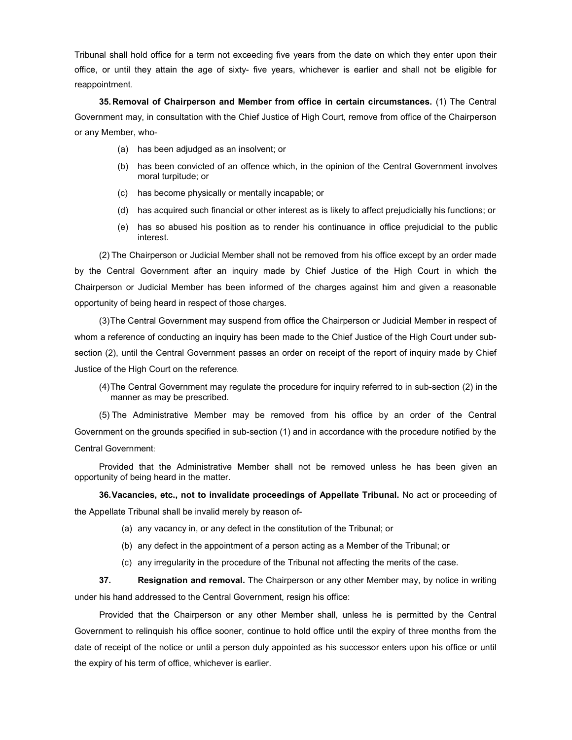Tribunal shall hold office for a term not exceeding five years from the date on which they enter upon their office, or until they attain the age of sixty- five years, whichever is earlier and shall not be eligible for reappointment.

35. Removal of Chairperson and Member from office in certain circumstances. (1) The Central Government may, in consultation with the Chief Justice of High Court, remove from office of the Chairperson or any Member, who-

- (a) has been adjudged as an insolvent; or
- (b) has been convicted of an offence which, in the opinion of the Central Government involves moral turpitude; or
- (c) has become physically or mentally incapable; or
- (d) has acquired such financial or other interest as is likely to affect prejudicially his functions; or
- (e) has so abused his position as to render his continuance in office prejudicial to the public interest.

(2) The Chairperson or Judicial Member shall not be removed from his office except by an order made by the Central Government after an inquiry made by Chief Justice of the High Court in which the Chairperson or Judicial Member has been informed of the charges against him and given a reasonable opportunity of being heard in respect of those charges.

(3) The Central Government may suspend from office the Chairperson or Judicial Member in respect of whom a reference of conducting an inquiry has been made to the Chief Justice of the High Court under subsection (2), until the Central Government passes an order on receipt of the report of inquiry made by Chief Justice of the High Court on the reference.

(4) The Central Government may regulate the procedure for inquiry referred to in sub-section (2) in the manner as may be prescribed.

(5) The Administrative Member may be removed from his office by an order of the Central Government on the grounds specified in sub-section (1) and in accordance with the procedure notified by the Central Government:

Provided that the Administrative Member shall not be removed unless he has been given an opportunity of being heard in the matter.

36. Vacancies, etc., not to invalidate proceedings of Appellate Tribunal. No act or proceeding of the Appellate Tribunal shall be invalid merely by reason of-

- (a) any vacancy in, or any defect in the constitution of the Tribunal; or
- (b) any defect in the appointment of a person acting as a Member of the Tribunal; or
- (c) any irregularity in the procedure of the Tribunal not affecting the merits of the case.

37. Resignation and removal. The Chairperson or any other Member may, by notice in writing under his hand addressed to the Central Government, resign his office:

Provided that the Chairperson or any other Member shall, unless he is permitted by the Central Government to relinquish his office sooner, continue to hold office until the expiry of three months from the date of receipt of the notice or until a person duly appointed as his successor enters upon his office or until the expiry of his term of office, whichever is earlier.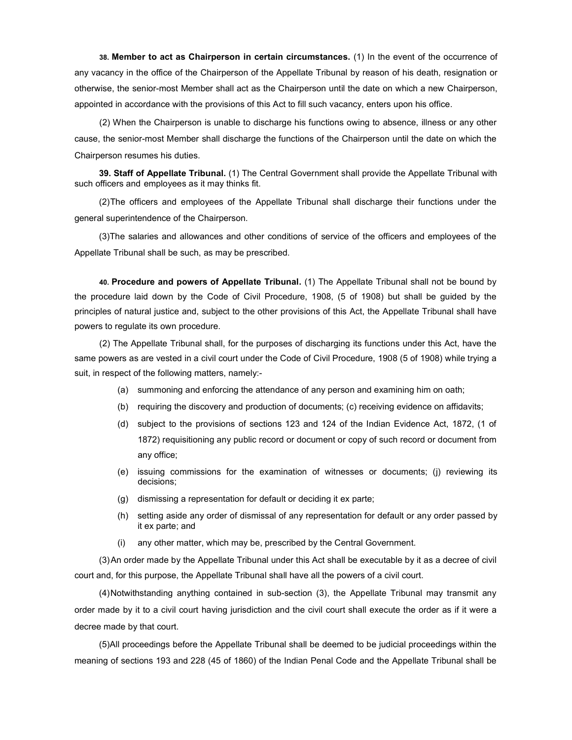38. Member to act as Chairperson in certain circumstances. (1) In the event of the occurrence of any vacancy in the office of the Chairperson of the Appellate Tribunal by reason of his death, resignation or otherwise, the senior-most Member shall act as the Chairperson until the date on which a new Chairperson, appointed in accordance with the provisions of this Act to fill such vacancy, enters upon his office.

(2) When the Chairperson is unable to discharge his functions owing to absence, illness or any other cause, the senior-most Member shall discharge the functions of the Chairperson until the date on which the Chairperson resumes his duties.

39. Staff of Appellate Tribunal. (1) The Central Government shall provide the Appellate Tribunal with such officers and employees as it may thinks fit.

(2) The officers and employees of the Appellate Tribunal shall discharge their functions under the general superintendence of the Chairperson.

(3) The salaries and allowances and other conditions of service of the officers and employees of the Appellate Tribunal shall be such, as may be prescribed.

40. Procedure and powers of Appellate Tribunal. (1) The Appellate Tribunal shall not be bound by the procedure laid down by the Code of Civil Procedure, 1908, (5 of 1908) but shall be guided by the principles of natural justice and, subject to the other provisions of this Act, the Appellate Tribunal shall have powers to regulate its own procedure.

(2) The Appellate Tribunal shall, for the purposes of discharging its functions under this Act, have the same powers as are vested in a civil court under the Code of Civil Procedure, 1908 (5 of 1908) while trying a suit, in respect of the following matters, namely:-

- (a) summoning and enforcing the attendance of any person and examining him on oath;
- (b) requiring the discovery and production of documents; (c) receiving evidence on affidavits;
- (d) subject to the provisions of sections 123 and 124 of the Indian Evidence Act, 1872, (1 of 1872) requisitioning any public record or document or copy of such record or document from any office;
- (e) issuing commissions for the examination of witnesses or documents; (j) reviewing its decisions;
- (g) dismissing a representation for default or deciding it ex parte;
- (h) setting aside any order of dismissal of any representation for default or any order passed by it ex parte; and
- (i) any other matter, which may be, prescribed by the Central Government.

(3) An order made by the Appellate Tribunal under this Act shall be executable by it as a decree of civil court and, for this purpose, the Appellate Tribunal shall have all the powers of a civil court.

(4) Notwithstanding anything contained in sub-section (3), the Appellate Tribunal may transmit any order made by it to a civil court having jurisdiction and the civil court shall execute the order as if it were a decree made by that court.

(5) All proceedings before the Appellate Tribunal shall be deemed to be judicial proceedings within the meaning of sections 193 and 228 (45 of 1860) of the Indian Penal Code and the Appellate Tribunal shall be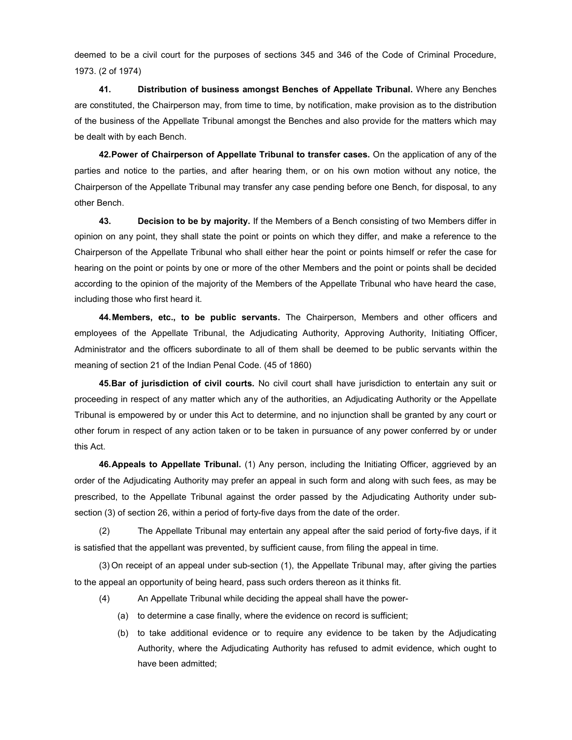deemed to be a civil court for the purposes of sections 345 and 346 of the Code of Criminal Procedure, 1973. (2 of 1974)

41. Distribution of business amongst Benches of Appellate Tribunal. Where any Benches are constituted, the Chairperson may, from time to time, by notification, make provision as to the distribution of the business of the Appellate Tribunal amongst the Benches and also provide for the matters which may be dealt with by each Bench.

42. Power of Chairperson of Appellate Tribunal to transfer cases. On the application of any of the parties and notice to the parties, and after hearing them, or on his own motion without any notice, the Chairperson of the Appellate Tribunal may transfer any case pending before one Bench, for disposal, to any other Bench.

43. Decision to be by majority. If the Members of a Bench consisting of two Members differ in opinion on any point, they shall state the point or points on which they differ, and make a reference to the Chairperson of the Appellate Tribunal who shall either hear the point or points himself or refer the case for hearing on the point or points by one or more of the other Members and the point or points shall be decided according to the opinion of the majority of the Members of the Appellate Tribunal who have heard the case, including those who first heard it.

44. Members, etc., to be public servants. The Chairperson, Members and other officers and employees of the Appellate Tribunal, the Adjudicating Authority, Approving Authority, Initiating Officer, Administrator and the officers subordinate to all of them shall be deemed to be public servants within the meaning of section 21 of the Indian Penal Code. (45 of 1860)

45. Bar of jurisdiction of civil courts. No civil court shall have jurisdiction to entertain any suit or proceeding in respect of any matter which any of the authorities, an Adjudicating Authority or the Appellate Tribunal is empowered by or under this Act to determine, and no injunction shall be granted by any court or other forum in respect of any action taken or to be taken in pursuance of any power conferred by or under this Act.

46. Appeals to Appellate Tribunal. (1) Any person, including the Initiating Officer, aggrieved by an order of the Adjudicating Authority may prefer an appeal in such form and along with such fees, as may be prescribed, to the Appellate Tribunal against the order passed by the Adjudicating Authority under subsection (3) of section 26, within a period of forty-five days from the date of the order.

(2) The Appellate Tribunal may entertain any appeal after the said period of forty-five days, if it is satisfied that the appellant was prevented, by sufficient cause, from filing the appeal in time.

(3) On receipt of an appeal under sub-section (1), the Appellate Tribunal may, after giving the parties to the appeal an opportunity of being heard, pass such orders thereon as it thinks fit.

- (4) An Appellate Tribunal while deciding the appeal shall have the power-
	- (a) to determine a case finally, where the evidence on record is sufficient;
	- (b) to take additional evidence or to require any evidence to be taken by the Adjudicating Authority, where the Adjudicating Authority has refused to admit evidence, which ought to have been admitted;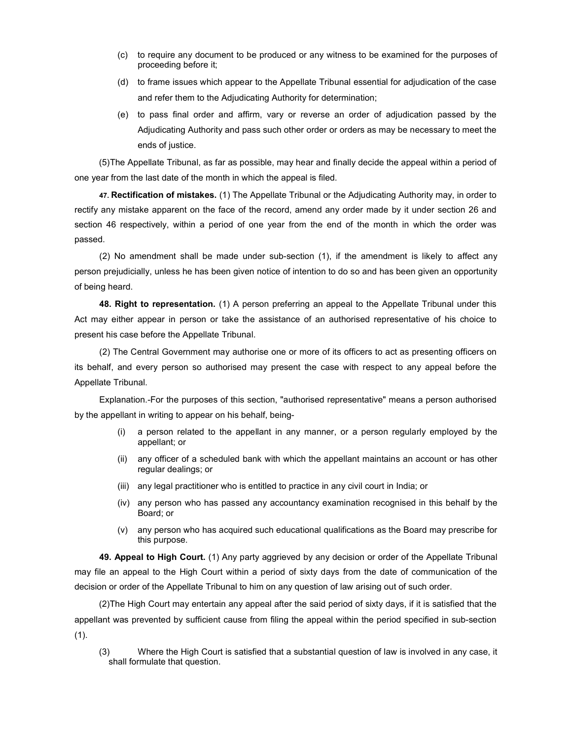- (c) to require any document to be produced or any witness to be examined for the purposes of proceeding before it;
- (d) to frame issues which appear to the Appellate Tribunal essential for adjudication of the case and refer them to the Adjudicating Authority for determination;
- (e) to pass final order and affirm, vary or reverse an order of adjudication passed by the Adjudicating Authority and pass such other order or orders as may be necessary to meet the ends of justice.

(5) The Appellate Tribunal, as far as possible, may hear and finally decide the appeal within a period of one year from the last date of the month in which the appeal is filed.

47. Rectification of mistakes. (1) The Appellate Tribunal or the Adjudicating Authority may, in order to rectify any mistake apparent on the face of the record, amend any order made by it under section 26 and section 46 respectively, within a period of one year from the end of the month in which the order was passed.

(2) No amendment shall be made under sub-section (1), if the amendment is likely to affect any person prejudicially, unless he has been given notice of intention to do so and has been given an opportunity of being heard.

48. Right to representation. (1) A person preferring an appeal to the Appellate Tribunal under this Act may either appear in person or take the assistance of an authorised representative of his choice to present his case before the Appellate Tribunal.

(2) The Central Government may authorise one or more of its officers to act as presenting officers on its behalf, and every person so authorised may present the case with respect to any appeal before the Appellate Tribunal.

Explanation.-For the purposes of this section, "authorised representative" means a person authorised by the appellant in writing to appear on his behalf, being-

- (i) a person related to the appellant in any manner, or a person regularly employed by the appellant; or
- (ii) any officer of a scheduled bank with which the appellant maintains an account or has other regular dealings; or
- (iii) any legal practitioner who is entitled to practice in any civil court in India; or
- (iv) any person who has passed any accountancy examination recognised in this behalf by the Board; or
- (v) any person who has acquired such educational qualifications as the Board may prescribe for this purpose.

49. Appeal to High Court. (1) Any party aggrieved by any decision or order of the Appellate Tribunal may file an appeal to the High Court within a period of sixty days from the date of communication of the decision or order of the Appellate Tribunal to him on any question of law arising out of such order.

(2) The High Court may entertain any appeal after the said period of sixty days, if it is satisfied that the appellant was prevented by sufficient cause from filing the appeal within the period specified in sub-section (1).

(3) Where the High Court is satisfied that a substantial question of law is involved in any case, it shall formulate that question.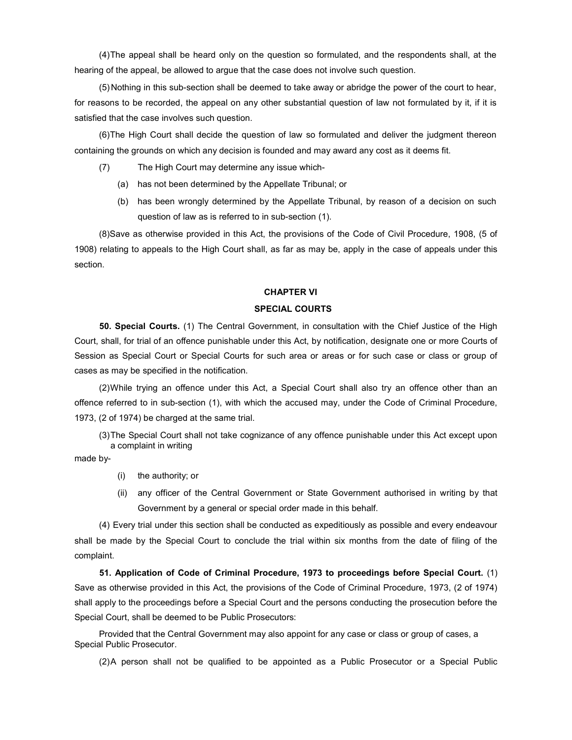(4) The appeal shall be heard only on the question so formulated, and the respondents shall, at the hearing of the appeal, be allowed to argue that the case does not involve such question.

(5) Nothing in this sub-section shall be deemed to take away or abridge the power of the court to hear, for reasons to be recorded, the appeal on any other substantial question of law not formulated by it, if it is satisfied that the case involves such question.

(6) The High Court shall decide the question of law so formulated and deliver the judgment thereon containing the grounds on which any decision is founded and may award any cost as it deems fit.

- (7) The High Court may determine any issue which-
	- (a) has not been determined by the Appellate Tribunal; or
	- (b) has been wrongly determined by the Appellate Tribunal, by reason of a decision on such question of law as is referred to in sub-section (1).

(8) Save as otherwise provided in this Act, the provisions of the Code of Civil Procedure, 1908, (5 of 1908) relating to appeals to the High Court shall, as far as may be, apply in the case of appeals under this section.

## CHAPTER VI

## SPECIAL COURTS

50. Special Courts. (1) The Central Government, in consultation with the Chief Justice of the High Court, shall, for trial of an offence punishable under this Act, by notification, designate one or more Courts of Session as Special Court or Special Courts for such area or areas or for such case or class or group of cases as may be specified in the notification.

(2) While trying an offence under this Act, a Special Court shall also try an offence other than an offence referred to in sub-section (1), with which the accused may, under the Code of Criminal Procedure, 1973, (2 of 1974) be charged at the same trial.

(3) The Special Court shall not take cognizance of any offence punishable under this Act except upon a complaint in writing

made by-

- (i) the authority; or
- (ii) any officer of the Central Government or State Government authorised in writing by that Government by a general or special order made in this behalf.

(4) Every trial under this section shall be conducted as expeditiously as possible and every endeavour shall be made by the Special Court to conclude the trial within six months from the date of filing of the complaint.

51. Application of Code of Criminal Procedure, 1973 to proceedings before Special Court. (1) Save as otherwise provided in this Act, the provisions of the Code of Criminal Procedure, 1973, (2 of 1974) shall apply to the proceedings before a Special Court and the persons conducting the prosecution before the Special Court, shall be deemed to be Public Prosecutors:

Provided that the Central Government may also appoint for any case or class or group of cases, a Special Public Prosecutor.

(2) A person shall not be qualified to be appointed as a Public Prosecutor or a Special Public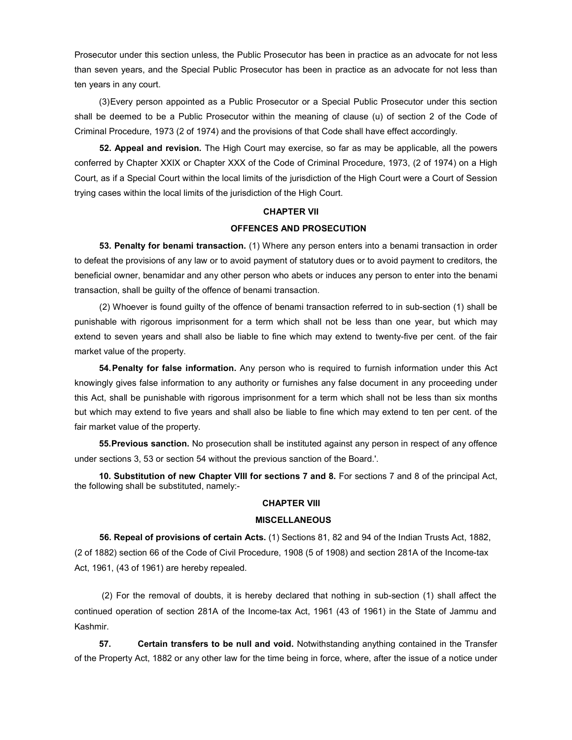Prosecutor under this section unless, the Public Prosecutor has been in practice as an advocate for not less than seven years, and the Special Public Prosecutor has been in practice as an advocate for not less than ten years in any court.

(3) Every person appointed as a Public Prosecutor or a Special Public Prosecutor under this section shall be deemed to be a Public Prosecutor within the meaning of clause (u) of section 2 of the Code of Criminal Procedure, 1973 (2 of 1974) and the provisions of that Code shall have effect accordingly.

52. Appeal and revision. The High Court may exercise, so far as may be applicable, all the powers conferred by Chapter XXIX or Chapter XXX of the Code of Criminal Procedure, 1973, (2 of 1974) on a High Court, as if a Special Court within the local limits of the jurisdiction of the High Court were a Court of Session trying cases within the local limits of the jurisdiction of the High Court.

## CHAPTER VII

## OFFENCES AND PROSECUTION

53. Penalty for benami transaction. (1) Where any person enters into a benami transaction in order to defeat the provisions of any law or to avoid payment of statutory dues or to avoid payment to creditors, the beneficial owner, benamidar and any other person who abets or induces any person to enter into the benami transaction, shall be guilty of the offence of benami transaction.

(2) Whoever is found guilty of the offence of benami transaction referred to in sub-section (1) shall be punishable with rigorous imprisonment for a term which shall not be less than one year, but which may extend to seven years and shall also be liable to fine which may extend to twenty-five per cent. of the fair market value of the property.

54. Penalty for false information. Any person who is required to furnish information under this Act knowingly gives false information to any authority or furnishes any false document in any proceeding under this Act, shall be punishable with rigorous imprisonment for a term which shall not be less than six months but which may extend to five years and shall also be liable to fine which may extend to ten per cent. of the fair market value of the property.

55. Previous sanction. No prosecution shall be instituted against any person in respect of any offence under sections 3, 53 or section 54 without the previous sanction of the Board.'.

10. Substitution of new Chapter VIII for sections 7 and 8. For sections 7 and 8 of the principal Act, the following shall be substituted, namely:-

### CHAPTER VIII

#### MISCELLANEOUS

56. Repeal of provisions of certain Acts. (1) Sections 81, 82 and 94 of the Indian Trusts Act, 1882, (2 of 1882) section 66 of the Code of Civil Procedure, 1908 (5 of 1908) and section 281A of the Income-tax Act, 1961, (43 of 1961) are hereby repealed.

 (2) For the removal of doubts, it is hereby declared that nothing in sub-section (1) shall affect the continued operation of section 281A of the Income-tax Act, 1961 (43 of 1961) in the State of Jammu and Kashmir.

57. Certain transfers to be null and void. Notwithstanding anything contained in the Transfer of the Property Act, 1882 or any other law for the time being in force, where, after the issue of a notice under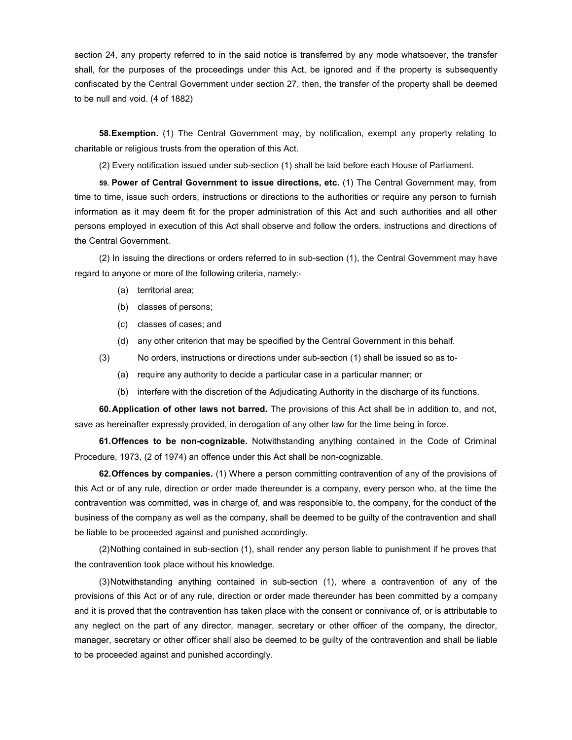section 24, any property referred to in the said notice is transferred by any mode whatsoever, the transfer shall, for the purposes of the proceedings under this Act, be ignored and if the property is subsequently confiscated by the Central Government under section 27, then, the transfer of the property shall be deemed to be null and void. (4 of 1882)

**58. Exemption.** (1) The Central Government may, by notification, exempt any property relating to charitable or religious trusts from the operation of this Act.

(2) Every notification issued under sub-section (1) shall be laid before each House of Parliament.

59. Power of Central Government to issue directions, etc. (1) The Central Government may, from time to time, issue such orders, instructions or directions to the authorities or require any person to furnish information as it may deem fit for the proper administration of this Act and such authorities and all other persons employed in execution of this Act shall observe and follow the orders, instructions and directions of the Central Government.

(2) In issuing the directions or orders referred to in sub-section (1), the Central Government may have regard to anyone or more of the following criteria, namely:-

- (a) territorial area;
- (b) classes of persons;
- (c) classes of cases; and
- (d) any other criterion that may be specified by the Central Government in this behalf.
- (3) No orders, instructions or directions under sub-section (1) shall be issued so as to-
	- (a) require any authority to decide a particular case in a particular manner; or
	- (b) interfere with the discretion of the Adjudicating Authority in the discharge of its functions.

60. Application of other laws not barred. The provisions of this Act shall be in addition to, and not, save as hereinafter expressly provided, in derogation of any other law for the time being in force.

61. Offences to be non-cognizable. Notwithstanding anything contained in the Code of Criminal Procedure, 1973, (2 of 1974) an offence under this Act shall be non-cognizable.

62. Offences by companies. (1) Where a person committing contravention of any of the provisions of this Act or of any rule, direction or order made thereunder is a company, every person who, at the time the contravention was committed, was in charge of, and was responsible to, the company, for the conduct of the business of the company as well as the company, shall be deemed to be guilty of the contravention and shall be liable to be proceeded against and punished accordingly.

(2) Nothing contained in sub-section (1), shall render any person liable to punishment if he proves that the contravention took place without his knowledge.

(3) Notwithstanding anything contained in sub-section (1), where a contravention of any of the provisions of this Act or of any rule, direction or order made thereunder has been committed by a company and it is proved that the contravention has taken place with the consent or connivance of, or is attributable to any neglect on the part of any director, manager, secretary or other officer of the company, the director, manager, secretary or other officer shall also be deemed to be guilty of the contravention and shall be liable to be proceeded against and punished accordingly.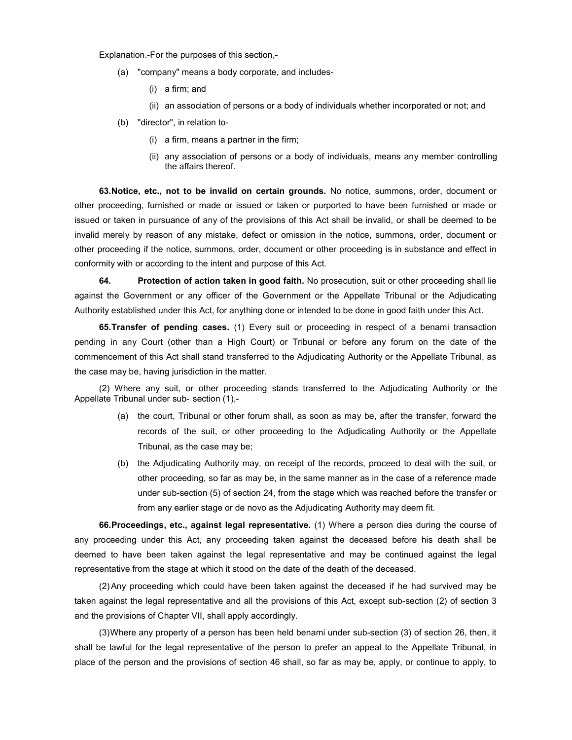Explanation.-For the purposes of this section,-

- (a) "company" means a body corporate, and includes-
	- (i) a firm; and
	- (ii) an association of persons or a body of individuals whether incorporated or not; and
- (b) "director", in relation to-
	- (i) a firm, means a partner in the firm;
	- (ii) any association of persons or a body of individuals, means any member controlling the affairs thereof.

63. Notice, etc., not to be invalid on certain grounds. No notice, summons, order, document or other proceeding, furnished or made or issued or taken or purported to have been furnished or made or issued or taken in pursuance of any of the provisions of this Act shall be invalid, or shall be deemed to be invalid merely by reason of any mistake, defect or omission in the notice, summons, order, document or other proceeding if the notice, summons, order, document or other proceeding is in substance and effect in conformity with or according to the intent and purpose of this Act.

64. Protection of action taken in good faith. No prosecution, suit or other proceeding shall lie against the Government or any officer of the Government or the Appellate Tribunal or the Adjudicating Authority established under this Act, for anything done or intended to be done in good faith under this Act.

**65. Transfer of pending cases.** (1) Every suit or proceeding in respect of a benami transaction pending in any Court (other than a High Court) or Tribunal or before any forum on the date of the commencement of this Act shall stand transferred to the Adjudicating Authority or the Appellate Tribunal, as the case may be, having jurisdiction in the matter.

(2) Where any suit, or other proceeding stands transferred to the Adjudicating Authority or the Appellate Tribunal under sub- section (1),-

- (a) the court, Tribunal or other forum shall, as soon as may be, after the transfer, forward the records of the suit, or other proceeding to the Adjudicating Authority or the Appellate Tribunal, as the case may be;
- (b) the Adjudicating Authority may, on receipt of the records, proceed to deal with the suit, or other proceeding, so far as may be, in the same manner as in the case of a reference made under sub-section (5) of section 24, from the stage which was reached before the transfer or from any earlier stage or de novo as the Adjudicating Authority may deem fit.

66. Proceedings, etc., against legal representative. (1) Where a person dies during the course of any proceeding under this Act, any proceeding taken against the deceased before his death shall be deemed to have been taken against the legal representative and may be continued against the legal representative from the stage at which it stood on the date of the death of the deceased.

(2) Any proceeding which could have been taken against the deceased if he had survived may be taken against the legal representative and all the provisions of this Act, except sub-section (2) of section 3 and the provisions of Chapter VII, shall apply accordingly.

(3) Where any property of a person has been held benami under sub-section (3) of section 26, then, it shall be lawful for the legal representative of the person to prefer an appeal to the Appellate Tribunal, in place of the person and the provisions of section 46 shall, so far as may be, apply, or continue to apply, to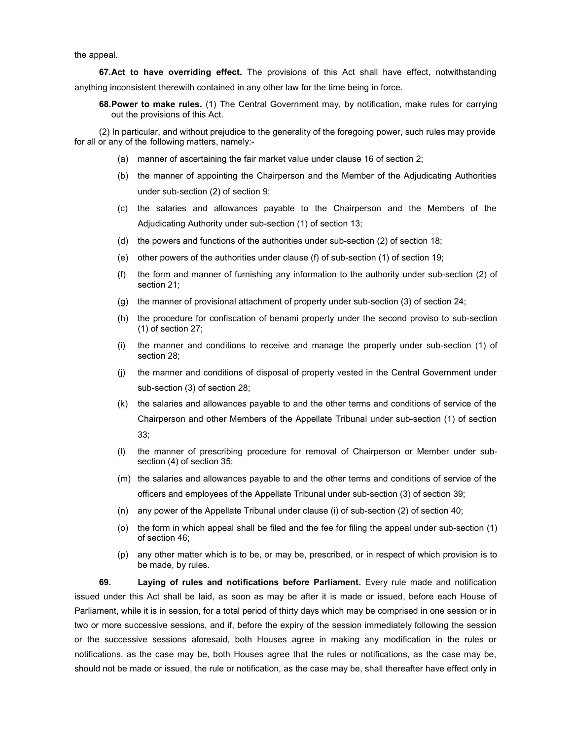the appeal.

67. Act to have overriding effect. The provisions of this Act shall have effect, notwithstanding anything inconsistent therewith contained in any other law for the time being in force.

68. Power to make rules. (1) The Central Government may, by notification, make rules for carrying out the provisions of this Act.

(2) In particular, and without prejudice to the generality of the foregoing power, such rules may provide for all or any of the following matters, namely:-

- (a) manner of ascertaining the fair market value under clause 16 of section 2;
- (b) the manner of appointing the Chairperson and the Member of the Adjudicating Authorities under sub-section (2) of section 9;
- (c) the salaries and allowances payable to the Chairperson and the Members of the Adjudicating Authority under sub-section (1) of section 13;
- (d) the powers and functions of the authorities under sub-section (2) of section 18;
- (e) other powers of the authorities under clause (f) of sub-section (1) of section 19;
- (f) the form and manner of furnishing any information to the authority under sub-section (2) of section 21;
- (g) the manner of provisional attachment of property under sub-section (3) of section 24;
- (h) the procedure for confiscation of benami property under the second proviso to sub-section (1) of section 27;
- (i) the manner and conditions to receive and manage the property under sub-section (1) of section 28;
- (j) the manner and conditions of disposal of property vested in the Central Government under sub-section (3) of section 28;
- (k) the salaries and allowances payable to and the other terms and conditions of service of the Chairperson and other Members of the Appellate Tribunal under sub-section (1) of section 33;
- (l) the manner of prescribing procedure for removal of Chairperson or Member under subsection (4) of section 35;
- (m) the salaries and allowances payable to and the other terms and conditions of service of the officers and employees of the Appellate Tribunal under sub-section (3) of section 39;
- (n) any power of the Appellate Tribunal under clause (i) of sub-section (2) of section 40;
- (o) the form in which appeal shall be filed and the fee for filing the appeal under sub-section (1) of section 46;
- (p) any other matter which is to be, or may be, prescribed, or in respect of which provision is to be made, by rules.

69. Laying of rules and notifications before Parliament. Every rule made and notification issued under this Act shall be laid, as soon as may be after it is made or issued, before each House of Parliament, while it is in session, for a total period of thirty days which may be comprised in one session or in two or more successive sessions, and if, before the expiry of the session immediately following the session or the successive sessions aforesaid, both Houses agree in making any modification in the rules or notifications, as the case may be, both Houses agree that the rules or notifications, as the case may be, should not be made or issued, the rule or notification, as the case may be, shall thereafter have effect only in